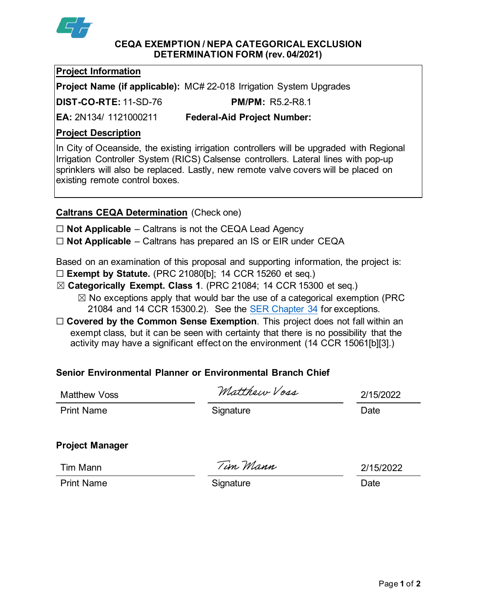

#### **CEQA EXEMPTION / NEPA CATEGORICAL EXCLUSION DETERMINATION FORM (rev. 04/2021)**

### **Project Information**

**Project Name (if applicable):** MC# 22-018 Irrigation System Upgrades

**DIST-CO-RTE:** 11-SD-76 **PM/PM:** R5.2-R8.1

**EA:** 2N134/ 1121000211 **Federal-Aid Project Number:**

## **Project Description**

In City of Oceanside, the existing irrigation controllers will be upgraded with Regional Irrigation Controller System (RICS) Calsense controllers. Lateral lines with pop-up sprinklers will also be replaced. Lastly, new remote valve covers will be placed on existing remote control boxes.

# **Caltrans CEQA Determination** (Check one)

☐ **Not Applicable** – Caltrans is not the CEQA Lead Agency

☐ **Not Applicable** – Caltrans has prepared an IS or EIR under CEQA

Based on an examination of this proposal and supporting information, the project is:

- ☐ **Exempt by Statute.** (PRC 21080[b]; 14 CCR 15260 et seq.)
- ☒ **Categorically Exempt. Class 1**. (PRC 21084; 14 CCR 15300 et seq.)
	- $\boxtimes$  No exceptions apply that would bar the use of a categorical exemption (PRC 21084 and 14 CCR 15300.2). See the [SER Chapter 34](https://dot.ca.gov/programs/environmental-analysis/standard-environmental-reference-ser/volume-1-guidance-for-compliance/ch-34-exemptions-to-ceqa#except) for exceptions.
- □ **Covered by the Common Sense Exemption**. This project does not fall within an exempt class, but it can be seen with certainty that there is no possibility that the activity may have a significant effect on the environment (14 CCR 15061[b][3].)

# **Senior Environmental Planner or Environmental Branch Chief**

| <b>Matthew Voss</b>    | Matthew Voss | 2/15/2022 |
|------------------------|--------------|-----------|
| <b>Print Name</b>      | Signature    | Date      |
| <b>Project Manager</b> |              |           |
| Tim Mann               | Tim Mann     | 2/15/2022 |
| <b>Print Name</b>      | Signature    | Date      |